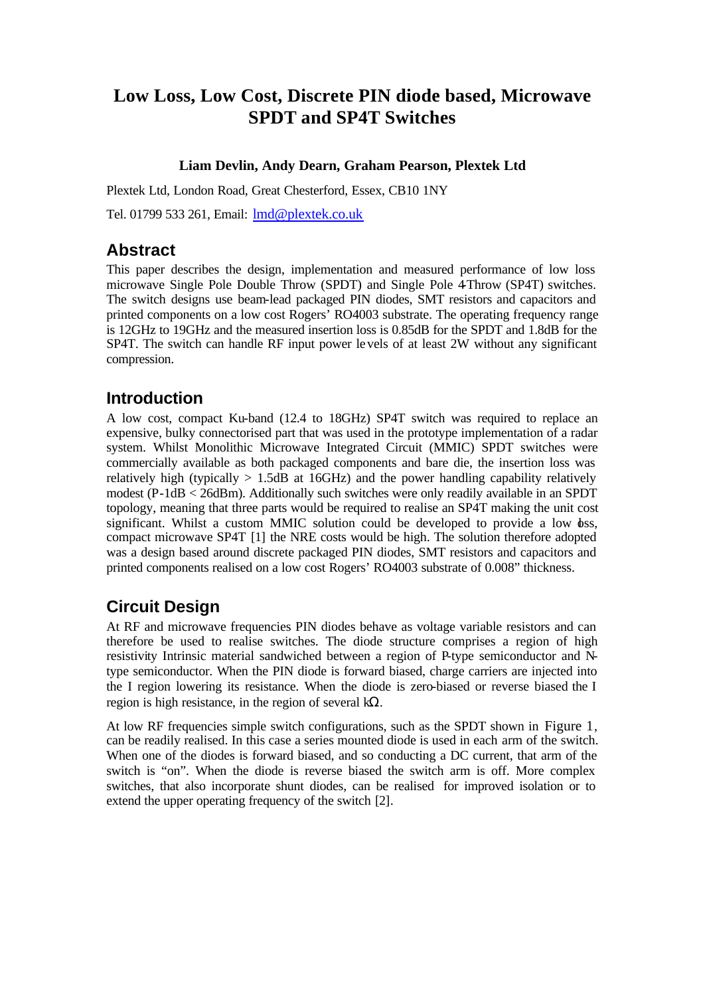# **Low Loss, Low Cost, Discrete PIN diode based, Microwave SPDT and SP4T Switches**

### **Liam Devlin, Andy Dearn, Graham Pearson, Plextek Ltd**

Plextek Ltd, London Road, Great Chesterford, Essex, CB10 1NY

Tel. 01799 533 261, Email: lmd@plextek.co.uk

## **Abstract**

This paper describes the design, implementation and measured performance of low loss microwave Single Pole Double Throw (SPDT) and Single Pole 4-Throw (SP4T) switches. The switch designs use beam-lead packaged PIN diodes, SMT resistors and capacitors and printed components on a low cost Rogers' RO4003 substrate. The operating frequency range is 12GHz to 19GHz and the measured insertion loss is 0.85dB for the SPDT and 1.8dB for the SP4T. The switch can handle RF input power levels of at least 2W without any significant compression.

## **Introduction**

A low cost, compact Ku-band (12.4 to 18GHz) SP4T switch was required to replace an expensive, bulky connectorised part that was used in the prototype implementation of a radar system. Whilst Monolithic Microwave Integrated Circuit (MMIC) SPDT switches were commercially available as both packaged components and bare die, the insertion loss was relatively high (typically  $> 1.5$ dB at 16GHz) and the power handling capability relatively modest (P-1dB < 26dBm). Additionally such switches were only readily available in an SPDT topology, meaning that three parts would be required to realise an SP4T making the unit cost significant. Whilst a custom MMIC solution could be developed to provide a low  $\delta$ ss, compact microwave SP4T [1] the NRE costs would be high. The solution therefore adopted was a design based around discrete packaged PIN diodes, SMT resistors and capacitors and printed components realised on a low cost Rogers' RO4003 substrate of 0.008" thickness.

# **Circuit Design**

At RF and microwave frequencies PIN diodes behave as voltage variable resistors and can therefore be used to realise switches. The diode structure comprises a region of high resistivity Intrinsic material sandwiched between a region of P-type semiconductor and Ntype semiconductor. When the PIN diode is forward biased, charge carriers are injected into the I region lowering its resistance. When the diode is zero-biased or reverse biased the I region is high resistance, in the region of several  $k\Omega$ .

At low RF frequencies simple switch configurations, such as the SPDT shown in Figure 1, can be readily realised. In this case a series mounted diode is used in each arm of the switch. When one of the diodes is forward biased, and so conducting a DC current, that arm of the switch is "on". When the diode is reverse biased the switch arm is off. More complex switches, that also incorporate shunt diodes, can be realised for improved isolation or to extend the upper operating frequency of the switch [2].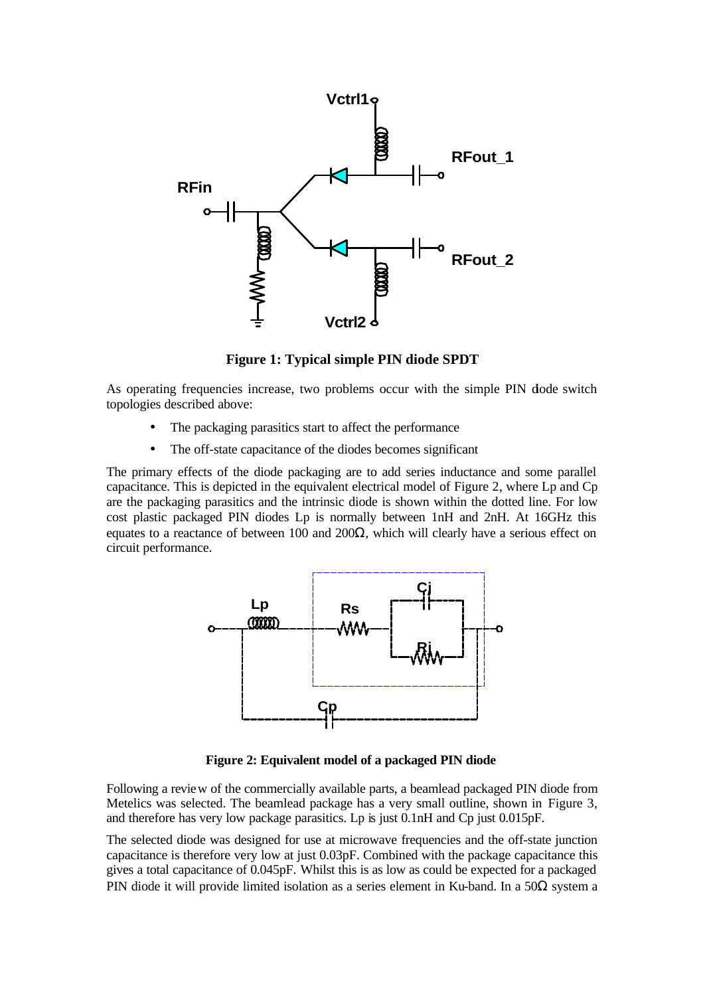

**Figure 1: Typical simple PIN diode SPDT**

As operating frequencies increase, two problems occur with the simple PIN dode switch topologies described above:

- The packaging parasitics start to affect the performance
- The off-state capacitance of the diodes becomes significant

The primary effects of the diode packaging are to add series inductance and some parallel capacitance. This is depicted in the equivalent electrical model of Figure 2, where Lp and Cp are the packaging parasitics and the intrinsic diode is shown within the dotted line. For low cost plastic packaged PIN diodes Lp is normally between 1nH and 2nH. At 16GHz this equates to a reactance of between 100 and 200 $\Omega$ , which will clearly have a serious effect on circuit performance.



**Figure 2: Equivalent model of a packaged PIN diode**

Following a review of the commercially available parts, a beamlead packaged PIN diode from Metelics was selected. The beamlead package has a very small outline, shown in Figure 3, and therefore has very low package parasitics. Lp is just 0.1nH and Cp just 0.015pF.

The selected diode was designed for use at microwave frequencies and the off-state junction capacitance is therefore very low at just 0.03pF. Combined with the package capacitance this gives a total capacitance of 0.045pF. Whilst this is as low as could be expected for a packaged PIN diode it will provide limited isolation as a series element in Ku-band. In a 50Ω system a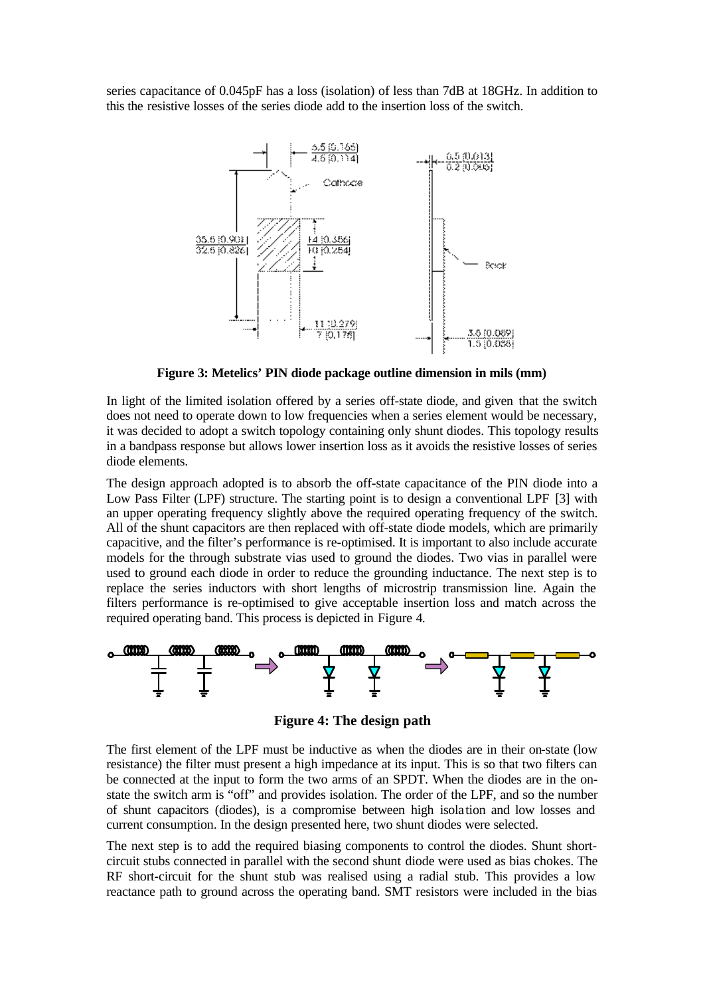series capacitance of 0.045pF has a loss (isolation) of less than 7dB at 18GHz. In addition to this the resistive losses of the series diode add to the insertion loss of the switch.



**Figure 3: Metelics' PIN diode package outline dimension in mils (mm)**

In light of the limited isolation offered by a series off-state diode, and given that the switch does not need to operate down to low frequencies when a series element would be necessary, it was decided to adopt a switch topology containing only shunt diodes. This topology results in a bandpass response but allows lower insertion loss as it avoids the resistive losses of series diode elements.

The design approach adopted is to absorb the off-state capacitance of the PIN diode into a Low Pass Filter (LPF) structure. The starting point is to design a conventional LPF [3] with an upper operating frequency slightly above the required operating frequency of the switch. All of the shunt capacitors are then replaced with off-state diode models, which are primarily capacitive, and the filter's performance is re-optimised. It is important to also include accurate models for the through substrate vias used to ground the diodes. Two vias in parallel were used to ground each diode in order to reduce the grounding inductance. The next step is to replace the series inductors with short lengths of microstrip transmission line. Again the filters performance is re-optimised to give acceptable insertion loss and match across the required operating band. This process is depicted in Figure 4.



**Figure 4: The design path**

The first element of the LPF must be inductive as when the diodes are in their on-state (low resistance) the filter must present a high impedance at its input. This is so that two filters can be connected at the input to form the two arms of an SPDT. When the diodes are in the onstate the switch arm is "off" and provides isolation. The order of the LPF, and so the number of shunt capacitors (diodes), is a compromise between high isola tion and low losses and current consumption. In the design presented here, two shunt diodes were selected.

The next step is to add the required biasing components to control the diodes. Shunt shortcircuit stubs connected in parallel with the second shunt diode were used as bias chokes. The RF short-circuit for the shunt stub was realised using a radial stub. This provides a low reactance path to ground across the operating band. SMT resistors were included in the bias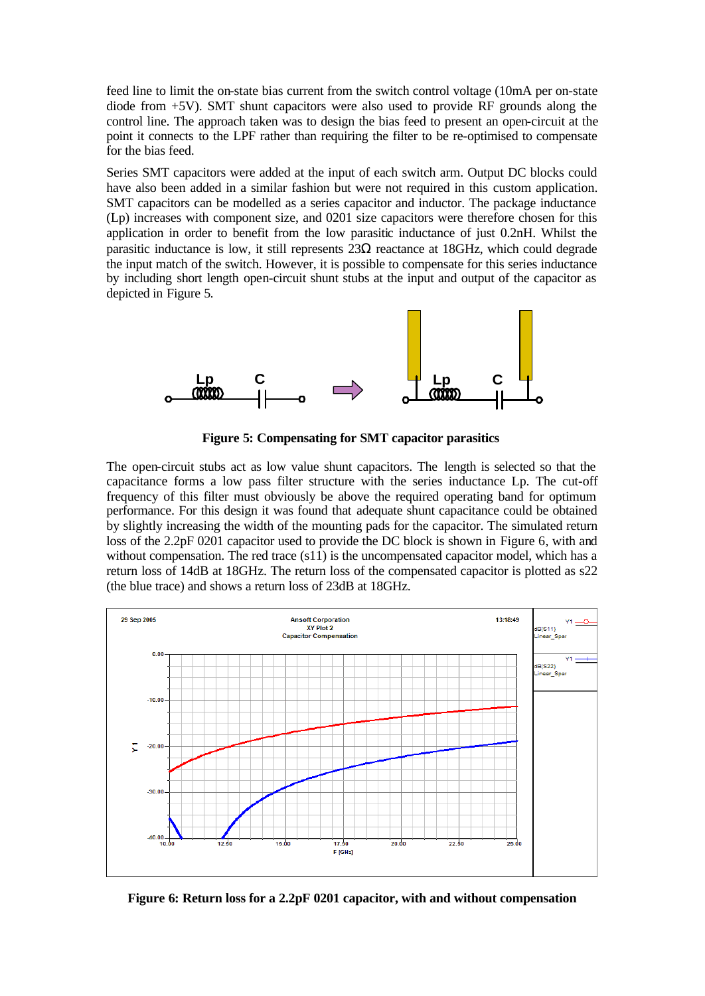feed line to limit the on-state bias current from the switch control voltage (10mA per on-state diode from +5V). SMT shunt capacitors were also used to provide RF grounds along the control line. The approach taken was to design the bias feed to present an open-circuit at the point it connects to the LPF rather than requiring the filter to be re-optimised to compensate for the bias feed.

Series SMT capacitors were added at the input of each switch arm. Output DC blocks could have also been added in a similar fashion but were not required in this custom application. SMT capacitors can be modelled as a series capacitor and inductor. The package inductance (Lp) increases with component size, and 0201 size capacitors were therefore chosen for this application in order to benefit from the low parasitic inductance of just 0.2nH. Whilst the parasitic inductance is low, it still represents  $23\Omega$  reactance at 18GHz, which could degrade the input match of the switch. However, it is possible to compensate for this series inductance by including short length open-circuit shunt stubs at the input and output of the capacitor as depicted in Figure 5.



**Figure 5: Compensating for SMT capacitor parasitics**

The open-circuit stubs act as low value shunt capacitors. The length is selected so that the capacitance forms a low pass filter structure with the series inductance Lp. The cut-off frequency of this filter must obviously be above the required operating band for optimum performance. For this design it was found that adequate shunt capacitance could be obtained by slightly increasing the width of the mounting pads for the capacitor. The simulated return loss of the 2.2pF 0201 capacitor used to provide the DC block is shown in Figure 6, with and without compensation. The red trace (s11) is the uncompensated capacitor model, which has a return loss of 14dB at 18GHz. The return loss of the compensated capacitor is plotted as s22 (the blue trace) and shows a return loss of 23dB at 18GHz.



**Figure 6: Return loss for a 2.2pF 0201 capacitor, with and without compensation**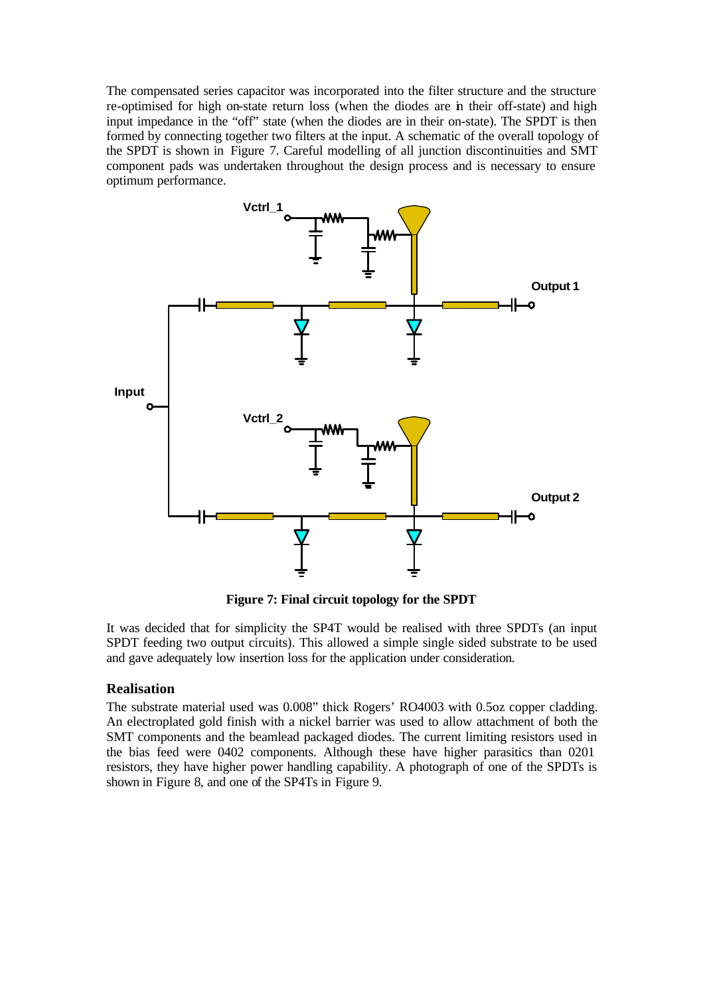The compensated series capacitor was incorporated into the filter structure and the structure re-optimised for high on-state return loss (when the diodes are in their off-state) and high input impedance in the "off" state (when the diodes are in their on-state). The SPDT is then formed by connecting together two filters at the input. A schematic of the overall topology of the SPDT is shown in Figure 7. Careful modelling of all junction discontinuities and SMT component pads was undertaken throughout the design process and is necessary to ensure optimum performance.



**Figure 7: Final circuit topology for the SPDT**

It was decided that for simplicity the SP4T would be realised with three SPDTs (an input SPDT feeding two output circuits). This allowed a simple single sided substrate to be used and gave adequately low insertion loss for the application under consideration.

#### **Realisation**

The substrate material used was 0.008" thick Rogers' RO4003 with 0.5oz copper cladding. An electroplated gold finish with a nickel barrier was used to allow attachment of both the SMT components and the beamlead packaged diodes. The current limiting resistors used in the bias feed were 0402 components. Although these have higher parasitics than 0201 resistors, they have higher power handling capability. A photograph of one of the SPDTs is shown in Figure 8, and one of the SP4Ts in Figure 9.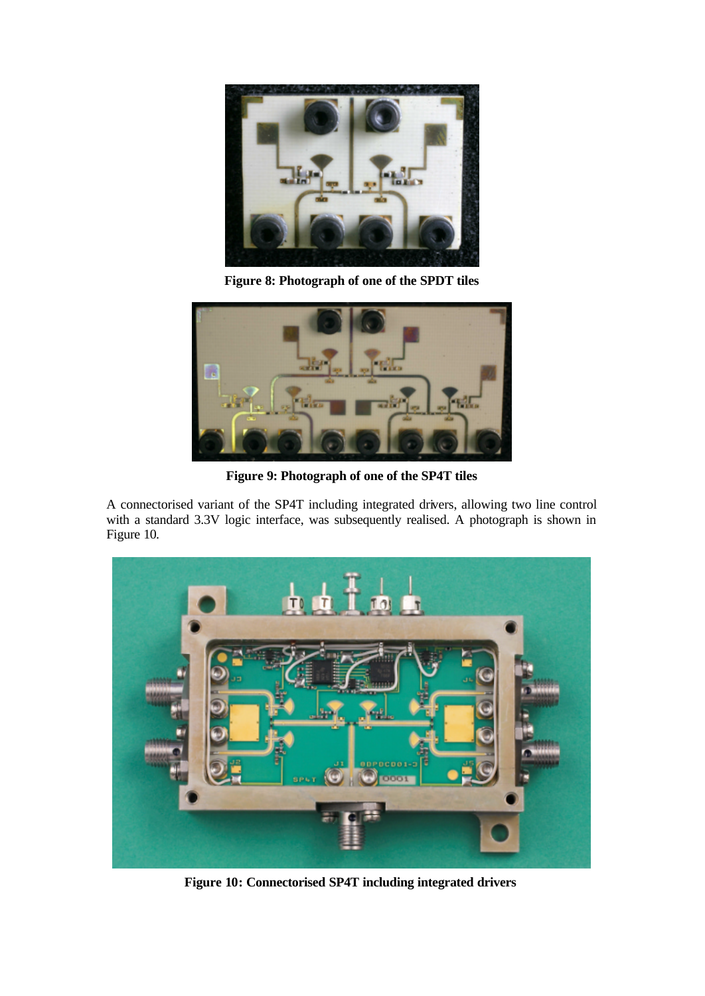

**Figure 8: Photograph of one of the SPDT tiles**



**Figure 9: Photograph of one of the SP4T tiles**

A connectorised variant of the SP4T including integrated drivers, allowing two line control with a standard 3.3V logic interface, was subsequently realised. A photograph is shown in Figure 10.



**Figure 10: Connectorised SP4T including integrated drivers**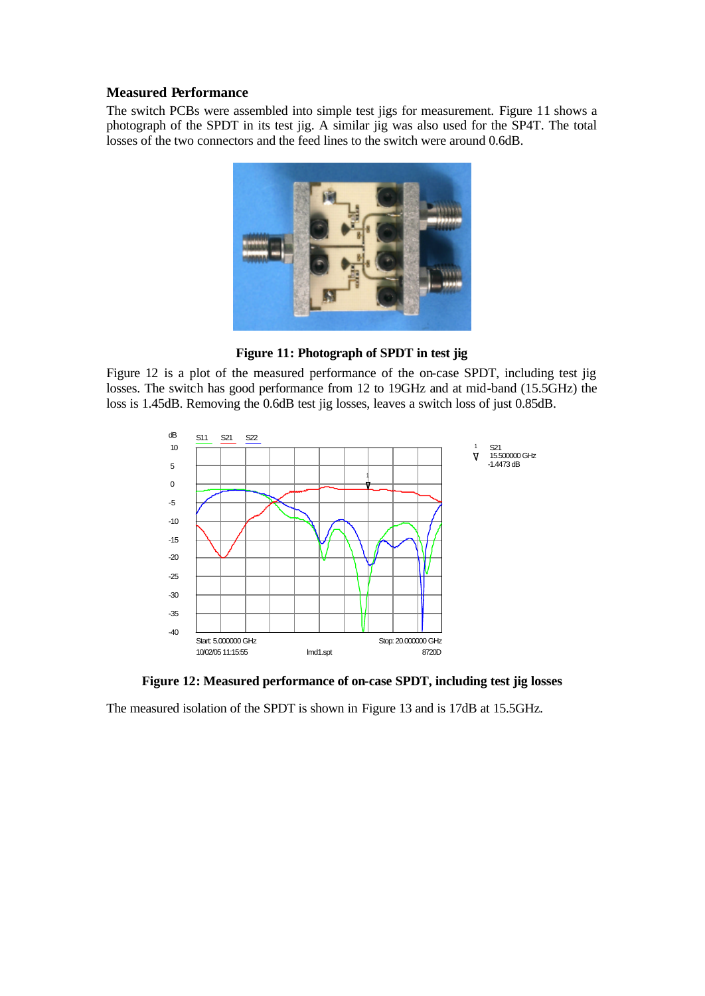### **Measured Performance**

The switch PCBs were assembled into simple test jigs for measurement. Figure 11 shows a photograph of the SPDT in its test jig. A similar jig was also used for the SP4T. The total losses of the two connectors and the feed lines to the switch were around 0.6dB.



**Figure 11: Photograph of SPDT in test jig**

Figure 12 is a plot of the measured performance of the on-case SPDT, including test jig losses. The switch has good performance from 12 to 19GHz and at mid-band (15.5GHz) the loss is 1.45dB. Removing the 0.6dB test jig losses, leaves a switch loss of just 0.85dB.



**Figure 12: Measured performance of on-case SPDT, including test jig losses**

The measured isolation of the SPDT is shown in Figure 13 and is 17dB at 15.5GHz.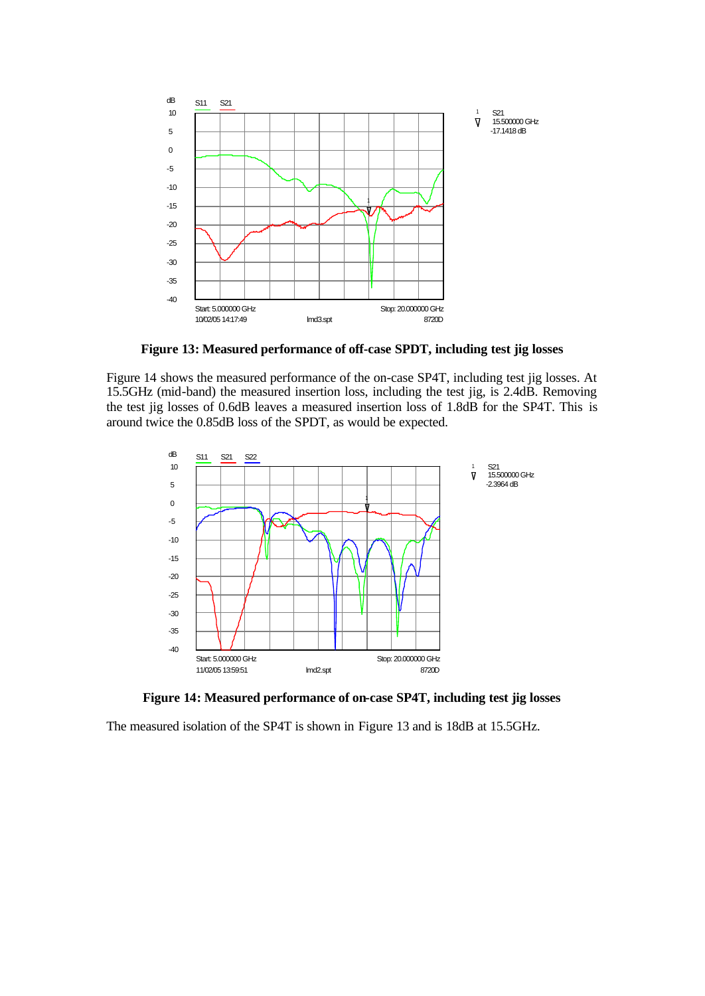

**Figure 13: Measured performance of off-case SPDT, including test jig losses**

Figure 14 shows the measured performance of the on-case SP4T, including test jig losses. At 15.5GHz (mid-band) the measured insertion loss, including the test jig, is 2.4dB. Removing the test jig losses of 0.6dB leaves a measured insertion loss of 1.8dB for the SP4T. This is around twice the 0.85dB loss of the SPDT, as would be expected.



**Figure 14: Measured performance of on-case SP4T, including test jig losses**

The measured isolation of the SP4T is shown in Figure 13 and is 18dB at 15.5GHz.